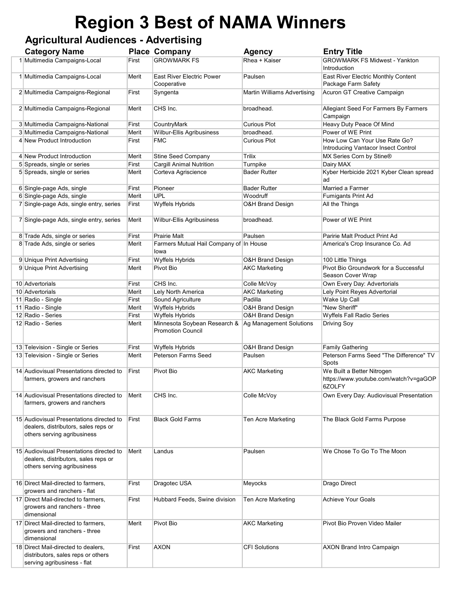## Region 3 Best of NAMA Winners

## Agricultural Audiences - Advertising

| <b>Category Name</b>                                                                                            |       | <b>Place Company</b>                                     | <b>Agency</b>                      | <b>Entry Title</b>                                                            |
|-----------------------------------------------------------------------------------------------------------------|-------|----------------------------------------------------------|------------------------------------|-------------------------------------------------------------------------------|
| 1 Multimedia Campaigns-Local                                                                                    | First | <b>GROWMARK FS</b>                                       | Rhea + Kaiser                      | <b>GROWMARK FS Midwest - Yankton</b><br>Introduction                          |
| 1 Multimedia Campaigns-Local                                                                                    | Merit | East River Electric Power<br>Cooperative                 | Paulsen                            | East River Electric Monthly Content<br>Package Farm Safety                    |
| 2 Multimedia Campaigns-Regional                                                                                 | First | Syngenta                                                 | <b>Martin Williams Advertising</b> | Acuron GT Creative Campaign                                                   |
| 2 Multimedia Campaigns-Regional                                                                                 | Merit | CHS Inc.                                                 | broadhead.                         | Allegiant Seed For Farmers By Farmers<br>Campaign                             |
| 3 Multimedia Campaigns-National                                                                                 | First | CountryMark                                              | Curious Plot                       | Heavy Duty Peace Of Mind                                                      |
| 3 Multimedia Campaigns-National                                                                                 | Merit | Wilbur-Ellis Agribusiness                                | broadhead.                         | Power of WE Print                                                             |
| 4 New Product Introduction                                                                                      | First | <b>FMC</b>                                               | Curious Plot                       | How Low Can Your Use Rate Go?<br>Introducing Vantacor Insect Control          |
| 4 New Product Introduction                                                                                      | Merit | <b>Stine Seed Company</b>                                | Trilix                             | MX Series Corn by Stine®                                                      |
| 5 Spreads, single or series                                                                                     | First | <b>Cargill Animal Nutrition</b>                          | Turnpike                           | Dairy MAX                                                                     |
| 5 Spreads, single or series                                                                                     | Merit | Corteva Agriscience                                      | Bader Rutter                       | Kyber Herbicide 2021 Kyber Clean spread<br>ad                                 |
| 6 Single-page Ads, single                                                                                       | First | Pioneer                                                  | <b>Bader Rutter</b>                | Married a Farmer                                                              |
| 6 Single-page Ads, single                                                                                       | Merit | UPL                                                      | Woodruff                           | <b>Fumigants Print Ad</b>                                                     |
| 7 Single-page Ads, single entry, series                                                                         | First | Wyffels Hybrids                                          | O&H Brand Design                   | All the Things                                                                |
| 7 Single-page Ads, single entry, series                                                                         | Merit | Wilbur-Ellis Agribusiness                                | broadhead.                         | Power of WE Print                                                             |
| 8 Trade Ads, single or series                                                                                   | First | <b>Prairie Malt</b>                                      | Paulsen                            | Paririe Malt Product Print Ad                                                 |
| 8 Trade Ads, single or series                                                                                   | Merit | Farmers Mutual Hail Company of In House<br>lowa          |                                    | America's Crop Insurance Co. Ad                                               |
| 9 Unique Print Advertising                                                                                      | First | Wyffels Hybrids                                          | <b>O&amp;H Brand Design</b>        | 100 Little Things                                                             |
| 9 Unique Print Advertising                                                                                      | Merit | Pivot Bio                                                | AKC Marketing                      | Pivot Bio Groundwork for a Successful<br>Season Cover Wrap                    |
| 10 Advertorials                                                                                                 | First | CHS Inc.                                                 | Colle McVoy                        | Own Every Day: Advertorials                                                   |
| 10 Advertorials                                                                                                 | Merit | Lely North America                                       | <b>AKC Marketing</b>               | Lely Point Reyes Advertorial                                                  |
| 11 Radio - Single                                                                                               | First | Sound Agriculture                                        | Padilla                            | Wake Up Call                                                                  |
| 11 Radio - Single                                                                                               | Merit | Wyffels Hybrids                                          | <b>O&amp;H Brand Design</b>        | "New Sheriff"                                                                 |
| 12 Radio - Series                                                                                               | First | Wyffels Hybrids                                          | <b>O&amp;H Brand Design</b>        | Wyffels Fall Radio Series                                                     |
| 12 Radio - Series                                                                                               | Merit | Minnesota Soybean Research &<br><b>Promotion Council</b> | Ag Management Solutions            | Driving Soy                                                                   |
| 13 Television - Single or Series                                                                                | First | Wyffels Hybrids                                          | <b>O&amp;H Brand Design</b>        | <b>Family Gathering</b>                                                       |
| 13 Television - Single or Series                                                                                | Merit | Peterson Farms Seed                                      | Paulsen                            | Peterson Farms Seed "The Difference" TV<br>Spots                              |
| 14 Audiovisual Presentations directed to<br>farmers, growers and ranchers                                       | First | Pivot Bio                                                | <b>AKC Marketing</b>               | We Built a Better Nitrogen<br>https://www.youtube.com/watch?v=gaGOP<br>6ZOLFY |
| 14 Audiovisual Presentations directed to<br>farmers, growers and ranchers                                       | Merit | CHS Inc.                                                 | Colle McVoy                        | Own Every Day: Audiovisual Presentation                                       |
| 15 Audiovisual Presentations directed to<br>dealers, distributors, sales reps or<br>others serving agribusiness | First | <b>Black Gold Farms</b>                                  | Ten Acre Marketing                 | The Black Gold Farms Purpose                                                  |
| 15 Audiovisual Presentations directed to<br>dealers, distributors, sales reps or<br>others serving agribusiness | Merit | Landus                                                   | Paulsen                            | We Chose To Go To The Moon                                                    |
| 16 Direct Mail-directed to farmers.<br>growers and ranchers - flat                                              | First | Dragotec USA                                             | Meyocks                            | Drago Direct                                                                  |
| 17 Direct Mail-directed to farmers,<br>growers and ranchers - three<br>dimensional                              | First | Hubbard Feeds, Swine division                            | Ten Acre Marketing                 | <b>Achieve Your Goals</b>                                                     |
| 17 Direct Mail-directed to farmers,<br>growers and ranchers - three<br>dimensional                              | Merit | Pivot Bio                                                | <b>AKC Marketing</b>               | Pivot Bio Proven Video Mailer                                                 |
| 18 Direct Mail-directed to dealers,<br>distributors, sales reps or others<br>serving agribusiness - flat        | First | <b>AXON</b>                                              | <b>CFI Solutions</b>               | <b>AXON Brand Intro Campaign</b>                                              |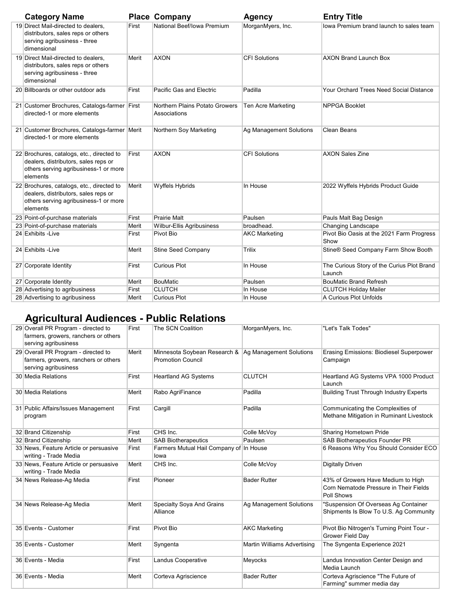| <b>Category Name</b>                                                                                                                   |       | <b>Place Company</b>                           | <b>Agency</b>             | <b>Entry Title</b>                                   |
|----------------------------------------------------------------------------------------------------------------------------------------|-------|------------------------------------------------|---------------------------|------------------------------------------------------|
| 19 Direct Mail-directed to dealers,<br>distributors, sales reps or others<br>serving agribusiness - three<br>dimensional               | First | National Beef/Iowa Premium                     | MorganMyers, Inc.         | lowa Premium brand launch to sales team              |
| 19 Direct Mail-directed to dealers.<br>distributors, sales reps or others<br>serving agribusiness - three<br>dimensional               | Merit | <b>AXON</b>                                    | <b>CFI Solutions</b>      | <b>AXON Brand Launch Box</b>                         |
| 20 Billboards or other outdoor ads                                                                                                     | First | Pacific Gas and Electric                       | Padilla                   | Your Orchard Trees Need Social Distance              |
| 21 Customer Brochures, Catalogs-farmer First<br>directed-1 or more elements                                                            |       | Northern Plains Potato Growers<br>Associations | <b>Ten Acre Marketing</b> | <b>NPPGA Booklet</b>                                 |
| 21 Customer Brochures, Catalogs-farmer   Merit<br>directed-1 or more elements                                                          |       | Northern Soy Marketing                         | Ag Management Solutions   | <b>Clean Beans</b>                                   |
| 22 Brochures, catalogs, etc., directed to<br>dealers, distributors, sales reps or<br>others serving agribusiness-1 or more<br>elements | First | <b>AXON</b>                                    | <b>CFI Solutions</b>      | <b>AXON Sales Zine</b>                               |
| 22 Brochures, catalogs, etc., directed to<br>dealers, distributors, sales reps or<br>others serving agribusiness-1 or more<br>elements | Merit | Wyffels Hybrids                                | In House                  | 2022 Wyffels Hybrids Product Guide                   |
| 23 Point-of-purchase materials                                                                                                         | First | <b>Prairie Malt</b>                            | Paulsen                   | Pauls Malt Bag Design                                |
| 23 Point-of-purchase materials                                                                                                         | Merit | <b>Wilbur-Ellis Agribusiness</b>               | broadhead.                | Changing Landscape                                   |
| 24 Exhibits - Live                                                                                                                     | First | Pivot Bio                                      | <b>AKC Marketing</b>      | Pivot Bio Oasis at the 2021 Farm Progress<br>Show    |
| 24 Exhibits - Live                                                                                                                     | Merit | <b>Stine Seed Company</b>                      | Trilix                    | Stine® Seed Company Farm Show Booth                  |
| 27 Corporate Identity                                                                                                                  | First | <b>Curious Plot</b>                            | In House                  | The Curious Story of the Curius Plot Brand<br>Launch |
| 27 Corporate Identity                                                                                                                  | Merit | <b>BouMatic</b>                                | Paulsen                   | <b>BouMatic Brand Refresh</b>                        |
| 28 Advertising to agribusiness                                                                                                         | First | <b>CLUTCH</b>                                  | In House                  | <b>CLUTCH Holiday Mailer</b>                         |
| 28 Advertising to agribusiness                                                                                                         | Merit | <b>Curious Plot</b>                            | In House                  | A Curious Plot Unfolds                               |

## Agricultural Audiences - Public Relations

| 29 Overall PR Program - directed to<br>farmers, growers, ranchers or others<br>serving agribusiness | First | The SCN Coalition                                                                  | MorganMyers, Inc.           | "Let's Talk Todes"                                                                         |
|-----------------------------------------------------------------------------------------------------|-------|------------------------------------------------------------------------------------|-----------------------------|--------------------------------------------------------------------------------------------|
| 29 Overall PR Program - directed to<br>farmers, growers, ranchers or others<br>serving agribusiness | Merit | Minnesota Soybean Research &   Ag Management Solutions<br><b>Promotion Council</b> |                             | <b>Erasing Emissions: Biodiesel Superpower</b><br>Campaign                                 |
| 30 Media Relations                                                                                  | First | <b>Heartland AG Systems</b>                                                        | <b>CLUTCH</b>               | Heartland AG Systems VPA 1000 Product<br>Launch                                            |
| 30 Media Relations                                                                                  | Merit | Rabo AgriFinance                                                                   | Padilla                     | <b>Building Trust Through Industry Experts</b>                                             |
| 31 Public Affairs/Issues Management<br>program                                                      | First | Cargill                                                                            | Padilla                     | Communicating the Complexities of<br>Methane Mitigation in Ruminant Livestock              |
| 32 Brand Citizenship                                                                                | First | CHS Inc.                                                                           | Colle McVoy                 | Sharing Hometown Pride                                                                     |
| 32 Brand Citizenship                                                                                | Merit | <b>SAB Biotherapeutics</b>                                                         | Paulsen                     | SAB Biotherapeutics Founder PR                                                             |
| 33 News, Feature Article or persuasive<br>writing - Trade Media                                     | First | Farmers Mutual Hail Company of In House<br>lowa                                    |                             | 6 Reasons Why You Should Consider ECO                                                      |
| 33 News, Feature Article or persuasive<br>writing - Trade Media                                     | Merit | CHS Inc.                                                                           | Colle McVoy                 | <b>Digitally Driven</b>                                                                    |
| 34 News Release-Aq Media                                                                            | First | Pioneer                                                                            | <b>Bader Rutter</b>         | 43% of Growers Have Medium to High<br>Corn Nematode Pressure in Their Fields<br>Poll Shows |
| 34 News Release-Ag Media                                                                            | Merit | Specialty Soya And Grains<br>Alliance                                              | Ag Management Solutions     | "Suspension Of Overseas Ag Container<br>Shipments Is Blow To U.S. Ag Community             |
| 35 Events - Customer                                                                                | First | Pivot Bio                                                                          | <b>AKC Marketing</b>        | Pivot Bio Nitrogen's Turning Point Tour -<br>Grower Field Day                              |
| 35 Events - Customer                                                                                | Merit | Syngenta                                                                           | Martin Williams Advertising | The Syngenta Experience 2021                                                               |
| 36 Events - Media                                                                                   | First | Landus Cooperative                                                                 | Meyocks                     | Landus Innovation Center Design and<br>Media Launch                                        |
| 36 Events - Media                                                                                   | Merit | Corteva Agriscience                                                                | <b>Bader Rutter</b>         | Corteva Agriscience "The Future of<br>Farming" summer media day                            |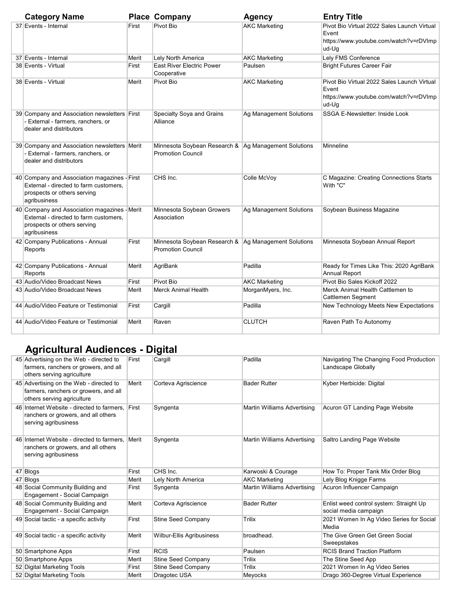| <b>Category Name</b>                                                                                                                  |       | <b>Place Company</b>                                                               | <b>Agency</b>           | <b>Entry Title</b>                                                                                      |
|---------------------------------------------------------------------------------------------------------------------------------------|-------|------------------------------------------------------------------------------------|-------------------------|---------------------------------------------------------------------------------------------------------|
| 37 Events - Internal                                                                                                                  | First | Pivot Bio                                                                          | <b>AKC Marketing</b>    | Pivot Bio Virtual 2022 Sales Launch Virtual<br>Event<br>https://www.youtube.com/watch?v=rDVImp<br>ud-Ug |
| 37 Events - Internal                                                                                                                  | Merit | Lely North America                                                                 | <b>AKC Marketing</b>    | Lely FMS Conference                                                                                     |
| 38 Events - Virtual                                                                                                                   | First | East River Electric Power<br>Cooperative                                           | Paulsen                 | <b>Bright Futures Career Fair</b>                                                                       |
| 38 Events - Virtual                                                                                                                   | Merit | Pivot Bio                                                                          | <b>AKC Marketing</b>    | Pivot Bio Virtual 2022 Sales Launch Virtual<br>Event<br>https://www.youtube.com/watch?v=rDVImp<br>ud-Ug |
| 39 Company and Association newsletters First<br>- External - farmers, ranchers, or<br>dealer and distributors                         |       | Specialty Soya and Grains<br>Alliance                                              | Ag Management Solutions | SSGA E-Newsletter: Inside Look                                                                          |
| 39 Company and Association newsletters Merit<br>- External - farmers, ranchers, or<br>dealer and distributors                         |       | Minnesota Soybean Research &   Ag Management Solutions<br><b>Promotion Council</b> |                         | Minneline                                                                                               |
| 40 Company and Association magazines - First<br>External - directed to farm customers.<br>prospects or others serving<br>agribusiness |       | CHS Inc.                                                                           | Colle McVoy             | C Magazine: Creating Connections Starts<br>With "C"                                                     |
| 40 Company and Association magazines - Merit<br>External - directed to farm customers.<br>prospects or others serving<br>agribusiness |       | Minnesota Soybean Growers<br>Association                                           | Ag Management Solutions | Soybean Business Magazine                                                                               |
| 42 Company Publications - Annual<br>Reports                                                                                           | First | Minnesota Soybean Research &   Ag Management Solutions<br><b>Promotion Council</b> |                         | Minnesota Soybean Annual Report                                                                         |
| 42 Company Publications - Annual<br>Reports                                                                                           | Merit | AgriBank                                                                           | Padilla                 | Ready for Times Like This: 2020 AgriBank<br><b>Annual Report</b>                                        |
| 43 Audio/Video Broadcast News                                                                                                         | First | Pivot Bio                                                                          | <b>AKC Marketing</b>    | Pivot Bio Sales Kickoff 2022                                                                            |
| 43 Audio/Video Broadcast News                                                                                                         | Merit | <b>Merck Animal Health</b>                                                         | MorganMyers, Inc.       | Merck Animal Health Cattlemen to<br>Cattlemen Segment                                                   |
| 44 Audio/Video Feature or Testimonial                                                                                                 | First | Cargill                                                                            | Padilla                 | New Technology Meets New Expectations                                                                   |
| 44 Audio/Video Feature or Testimonial                                                                                                 | Merit | Raven                                                                              | <b>CLUTCH</b>           | Raven Path To Autonomy                                                                                  |

## Agricultural Audiences - Digital

| 45 Advertising on the Web - directed to<br>farmers, ranchers or growers, and all<br>others serving agriculture | First | Cargill                   | Padilla                     | Navigating The Changing Food Production<br>Landscape Globally    |
|----------------------------------------------------------------------------------------------------------------|-------|---------------------------|-----------------------------|------------------------------------------------------------------|
| 45 Advertising on the Web - directed to<br>farmers, ranchers or growers, and all<br>others serving agriculture | Merit | Corteva Agriscience       | <b>Bader Rutter</b>         | Kyber Herbicide: Digital                                         |
| 46 Internet Website - directed to farmers.<br>ranchers or growers, and all others<br>serving agribusiness      | First | Syngenta                  | Martin Williams Advertising | Acuron GT Landing Page Website                                   |
| 46 Internet Website - directed to farmers.<br>ranchers or growers, and all others<br>serving agribusiness      | Merit | Syngenta                  | Martin Williams Advertising | Saltro Landing Page Website                                      |
| 47 Blogs                                                                                                       | First | CHS Inc.                  | Karwoski & Courage          | How To: Proper Tank Mix Order Blog                               |
| 47 Blogs                                                                                                       | Merit | Lely North America        | <b>AKC Marketing</b>        | Lely Blog Knigge Farms                                           |
| 48 Social Community Building and<br>Engagement - Social Campaign                                               | First | Syngenta                  | Martin Williams Advertising | Acuron Influencer Campaign                                       |
| 48 Social Community Building and<br>Engagement - Social Campaign                                               | Merit | Corteva Agriscience       | <b>Bader Rutter</b>         | Enlist weed control system: Straight Up<br>social media campaign |
| 49 Social tactic - a specific activity                                                                         | First | <b>Stine Seed Company</b> | Trilix                      | 2021 Women In Ag Video Series for Social<br>Media                |
| 49 Social tactic - a specific activity                                                                         | Merit | Wilbur-Ellis Agribusiness | broadhead.                  | The Give Green Get Green Social<br>Sweepstakes                   |
| 50 Smartphone Apps                                                                                             | First | <b>RCIS</b>               | Paulsen                     | <b>RCIS Brand Traction Platform</b>                              |
| 50 Smartphone Apps                                                                                             | Merit | Stine Seed Company        | Trilix                      | The Stine Seed App                                               |
| 52 Digital Marketing Tools                                                                                     | First | <b>Stine Seed Company</b> | Trilix                      | 2021 Women In Ag Video Series                                    |
| 52 Digital Marketing Tools                                                                                     | Merit | Dragotec USA              | Meyocks                     | Drago 360-Degree Virtual Experience                              |